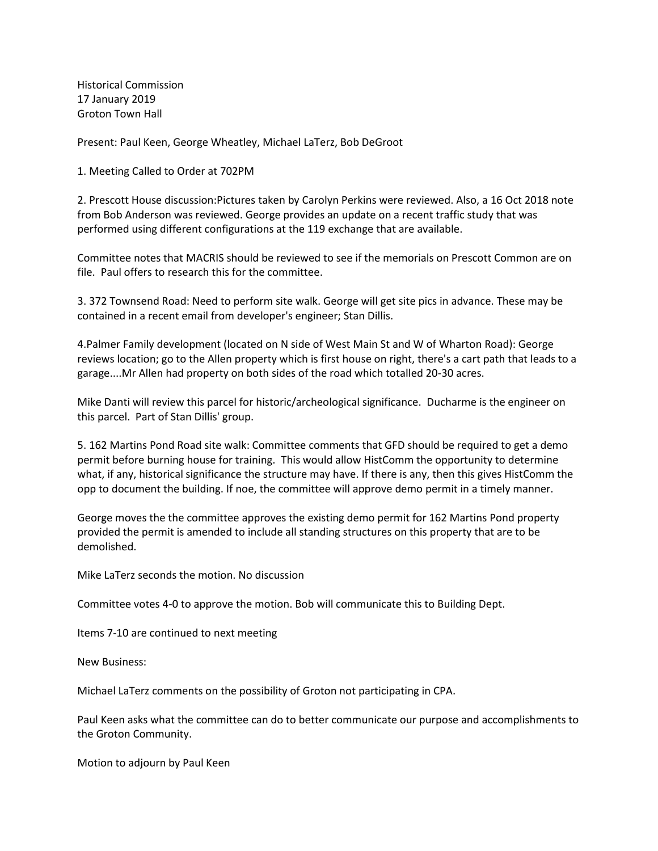Historical Commission 17 January 2019 Groton Town Hall

Present: Paul Keen, George Wheatley, Michael LaTerz, Bob DeGroot

1. Meeting Called to Order at 702PM

2. Prescott House discussion:Pictures taken by Carolyn Perkins were reviewed. Also, a 16 Oct 2018 note from Bob Anderson was reviewed. George provides an update on a recent traffic study that was performed using different configurations at the 119 exchange that are available.

Committee notes that MACRIS should be reviewed to see if the memorials on Prescott Common are on file. Paul offers to research this for the committee.

3. 372 Townsend Road: Need to perform site walk. George will get site pics in advance. These may be contained in a recent email from developer's engineer; Stan Dillis.

4.Palmer Family development (located on N side of West Main St and W of Wharton Road): George reviews location; go to the Allen property which is first house on right, there's a cart path that leads to a garage....Mr Allen had property on both sides of the road which totalled 20-30 acres.

Mike Danti will review this parcel for historic/archeological significance. Ducharme is the engineer on this parcel. Part of Stan Dillis' group.

5. 162 Martins Pond Road site walk: Committee comments that GFD should be required to get a demo permit before burning house for training. This would allow HistComm the opportunity to determine what, if any, historical significance the structure may have. If there is any, then this gives HistComm the opp to document the building. If noe, the committee will approve demo permit in a timely manner.

George moves the the committee approves the existing demo permit for 162 Martins Pond property provided the permit is amended to include all standing structures on this property that are to be demolished.

Mike LaTerz seconds the motion. No discussion

Committee votes 4-0 to approve the motion. Bob will communicate this to Building Dept.

Items 7-10 are continued to next meeting

New Business:

Michael LaTerz comments on the possibility of Groton not participating in CPA.

Paul Keen asks what the committee can do to better communicate our purpose and accomplishments to the Groton Community.

Motion to adjourn by Paul Keen